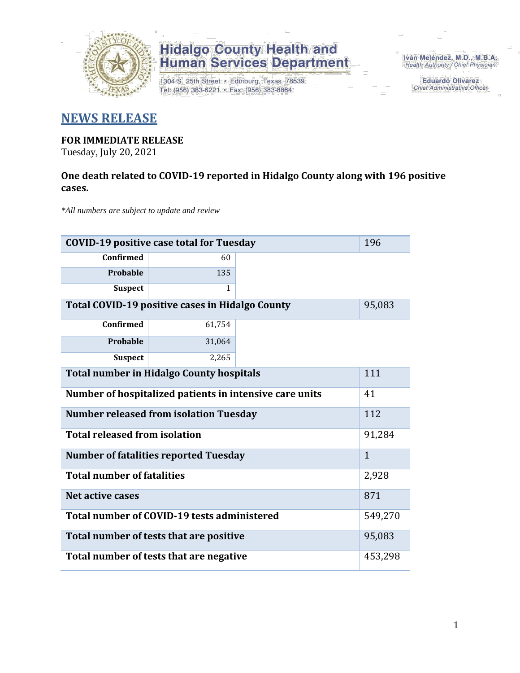

1304 S. 25th Street · Edinburg, Texas 78539 Tel: (956) 383-6221 · Fax: (956) 383-8864

Iván Meléndez, M.D., M.B.A. Health Authority / Chief Physician

> **Eduardo Olivarez** Chief Administrative Officer

### **NEWS RELEASE**

### **FOR IMMEDIATE RELEASE**

Tuesday, July 20, 2021

### **One death related to COVID-19 reported in Hidalgo County along with 196 positive cases.**

*\*All numbers are subject to update and review*

| <b>COVID-19 positive case total for Tuesday</b><br>196        |         |  |  |  |  |  |  |
|---------------------------------------------------------------|---------|--|--|--|--|--|--|
| <b>Confirmed</b>                                              | 60      |  |  |  |  |  |  |
| Probable                                                      | 135     |  |  |  |  |  |  |
| <b>Suspect</b>                                                | 1       |  |  |  |  |  |  |
| Total COVID-19 positive cases in Hidalgo County<br>95,083     |         |  |  |  |  |  |  |
| Confirmed                                                     | 61,754  |  |  |  |  |  |  |
| <b>Probable</b>                                               | 31,064  |  |  |  |  |  |  |
| <b>Suspect</b>                                                | 2,265   |  |  |  |  |  |  |
| <b>Total number in Hidalgo County hospitals</b><br>111        |         |  |  |  |  |  |  |
| 41<br>Number of hospitalized patients in intensive care units |         |  |  |  |  |  |  |
| 112<br><b>Number released from isolation Tuesday</b>          |         |  |  |  |  |  |  |
| <b>Total released from isolation</b><br>91,284                |         |  |  |  |  |  |  |
| <b>Number of fatalities reported Tuesday</b>                  |         |  |  |  |  |  |  |
| <b>Total number of fatalities</b>                             | 2,928   |  |  |  |  |  |  |
| Net active cases                                              | 871     |  |  |  |  |  |  |
| Total number of COVID-19 tests administered                   | 549,270 |  |  |  |  |  |  |
| Total number of tests that are positive                       |         |  |  |  |  |  |  |
| Total number of tests that are negative                       |         |  |  |  |  |  |  |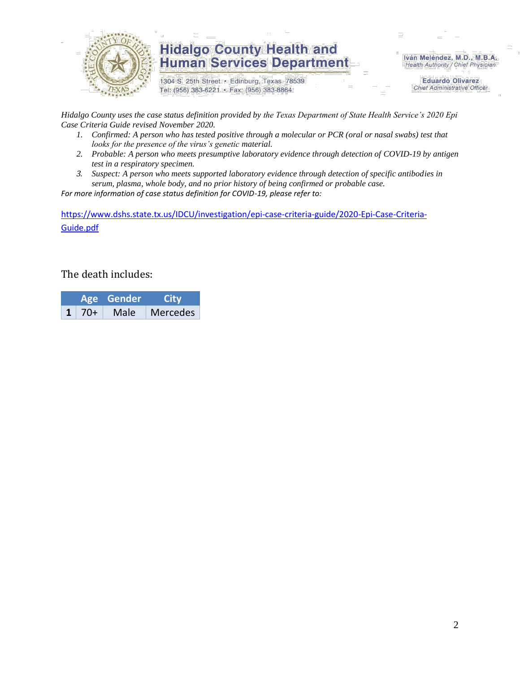

1304 S. 25th Street · Edinburg, Texas 78539 Tel: (956) 383-6221 · Fax: (956) 383-8864

Iván Meléndez, M.D., M.B.A. Health Authority / Chief Physician

> **Eduardo Olivarez Chief Administrative Officer**

*Hidalgo County uses the case status definition provided by the Texas Department of State Health Service's 2020 Epi Case Criteria Guide revised November 2020.*

- *1. Confirmed: A person who has tested positive through a molecular or PCR (oral or nasal swabs) test that looks for the presence of the virus's genetic material.*
- *2. Probable: A person who meets presumptive laboratory evidence through detection of COVID-19 by antigen test in a respiratory specimen.*
- *3. Suspect: A person who meets supported laboratory evidence through detection of specific antibodies in serum, plasma, whole body, and no prior history of being confirmed or probable case.*

*For more information of case status definition for COVID-19, please refer to:*

[https://www.dshs.state.tx.us/IDCU/investigation/epi-case-criteria-guide/2020-Epi-Case-Criteria-](https://www.dshs.state.tx.us/IDCU/investigation/epi-case-criteria-guide/2020-Epi-Case-Criteria-Guide.pdf)[Guide.pdf](https://www.dshs.state.tx.us/IDCU/investigation/epi-case-criteria-guide/2020-Epi-Case-Criteria-Guide.pdf)

#### The death includes:

|  |              | Age Gender | City            |  |  |
|--|--------------|------------|-----------------|--|--|
|  | $1 \mid 70+$ | Male       | <b>Mercedes</b> |  |  |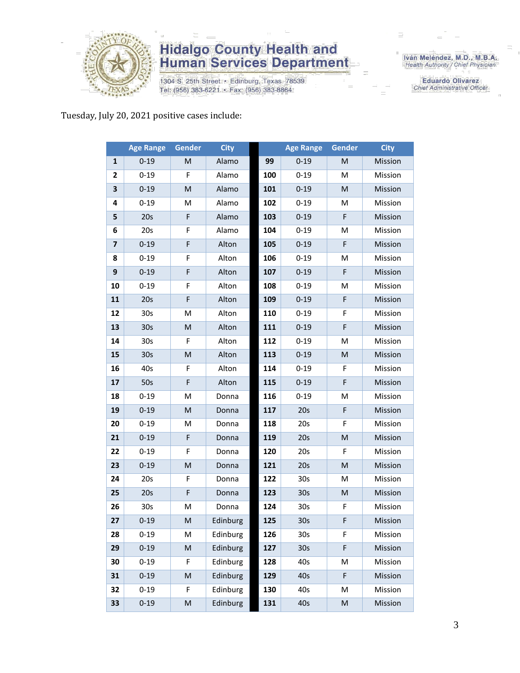

1304 S. 25th Street · Edinburg, Texas 78539 Tel: (956) 383-6221 · Fax: (956) 383-8864

Iván Meléndez, M.D., M.B.A.<br>Health Authority / Chief Physician

**Eduardo Olivarez** Chief Administrative Officer

Tuesday, July 20, 2021 positive cases include:

|                         | <b>Age Range</b> | Gender                                                                                                     | <b>City</b> |     | <b>Age Range</b> | Gender                                                                                                     | <b>City</b> |
|-------------------------|------------------|------------------------------------------------------------------------------------------------------------|-------------|-----|------------------|------------------------------------------------------------------------------------------------------------|-------------|
| $\mathbf{1}$            | $0 - 19$         | M                                                                                                          | Alamo       | 99  | $0 - 19$         | M                                                                                                          | Mission     |
| 2                       | $0 - 19$         | F                                                                                                          | Alamo       | 100 | $0 - 19$         | M                                                                                                          | Mission     |
| 3                       | $0 - 19$         | M                                                                                                          | Alamo       | 101 | $0 - 19$         | M                                                                                                          | Mission     |
| 4                       | $0 - 19$         | M                                                                                                          | Alamo       | 102 | $0 - 19$         | M                                                                                                          | Mission     |
| 5                       | 20s              | F                                                                                                          | Alamo       | 103 | $0 - 19$         | F                                                                                                          | Mission     |
| 6                       | 20s              | F                                                                                                          | Alamo       | 104 | $0 - 19$         | M                                                                                                          | Mission     |
| $\overline{\mathbf{z}}$ | $0 - 19$         | F                                                                                                          | Alton       | 105 | $0 - 19$         | F                                                                                                          | Mission     |
| 8                       | $0 - 19$         | F                                                                                                          | Alton       | 106 | $0 - 19$         | M                                                                                                          | Mission     |
| 9                       | $0 - 19$         | F                                                                                                          | Alton       | 107 | $0 - 19$         | F                                                                                                          | Mission     |
| 10                      | $0 - 19$         | F                                                                                                          | Alton       | 108 | $0 - 19$         | M                                                                                                          | Mission     |
| 11                      | 20s              | F                                                                                                          | Alton       | 109 | $0 - 19$         | F                                                                                                          | Mission     |
| 12                      | 30 <sub>s</sub>  | M                                                                                                          | Alton       | 110 | $0 - 19$         | F                                                                                                          | Mission     |
| 13                      | 30 <sub>s</sub>  | M                                                                                                          | Alton       | 111 | $0 - 19$         | F                                                                                                          | Mission     |
| 14                      | 30 <sub>s</sub>  | F                                                                                                          | Alton       | 112 | $0 - 19$         | M                                                                                                          | Mission     |
| 15                      | 30 <sub>s</sub>  | M                                                                                                          | Alton       | 113 | $0 - 19$         | M                                                                                                          | Mission     |
| 16                      | 40s              | F                                                                                                          | Alton       | 114 | $0 - 19$         | F                                                                                                          | Mission     |
| 17                      | 50s              | F                                                                                                          | Alton       | 115 | $0 - 19$         | F                                                                                                          | Mission     |
| 18                      | $0 - 19$         | M                                                                                                          | Donna       | 116 | $0 - 19$         | M                                                                                                          | Mission     |
| 19                      | $0 - 19$         | M                                                                                                          | Donna       | 117 | 20s              | F                                                                                                          | Mission     |
| 20                      | $0 - 19$         | M                                                                                                          | Donna       | 118 | 20s              | F                                                                                                          | Mission     |
| 21                      | $0 - 19$         | F                                                                                                          | Donna       | 119 | 20s              | $\mathsf{M}% _{T}=\mathsf{M}_{T}\!\left( a,b\right) ,\ \mathsf{M}_{T}=\mathsf{M}_{T}\!\left( a,b\right) ,$ | Mission     |
| 22                      | $0 - 19$         | F                                                                                                          | Donna       | 120 | 20s              | F                                                                                                          | Mission     |
| 23                      | $0 - 19$         | M                                                                                                          | Donna       | 121 | 20s              | M                                                                                                          | Mission     |
| 24                      | 20s              | F                                                                                                          | Donna       | 122 | 30 <sub>s</sub>  | M                                                                                                          | Mission     |
| 25                      | 20s              | F                                                                                                          | Donna       | 123 | 30 <sub>s</sub>  | ${\sf M}$                                                                                                  | Mission     |
| 26                      | 30 <sub>s</sub>  | ${\sf M}$                                                                                                  | Donna       | 124 | 30 <sub>s</sub>  | F                                                                                                          | Mission     |
| 27                      | $0 - 19$         | ${\sf M}$                                                                                                  | Edinburg    | 125 | 30s              | F.                                                                                                         | Mission     |
| 28                      | $0 - 19$         | M                                                                                                          | Edinburg    | 126 | 30 <sub>s</sub>  | F                                                                                                          | Mission     |
| 29                      | $0 - 19$         | M                                                                                                          | Edinburg    | 127 | 30 <sub>s</sub>  | F                                                                                                          | Mission     |
| 30                      | $0 - 19$         | F                                                                                                          | Edinburg    | 128 | 40s              | M                                                                                                          | Mission     |
| 31                      | $0 - 19$         | M                                                                                                          | Edinburg    | 129 | 40s              | F                                                                                                          | Mission     |
| 32                      | $0 - 19$         | F                                                                                                          | Edinburg    | 130 | 40s              | M                                                                                                          | Mission     |
| 33                      | $0 - 19$         | $\mathsf{M}% _{T}=\mathsf{M}_{T}\!\left( a,b\right) ,\ \mathsf{M}_{T}=\mathsf{M}_{T}\!\left( a,b\right) ,$ | Edinburg    | 131 | 40s              | ${\sf M}$                                                                                                  | Mission     |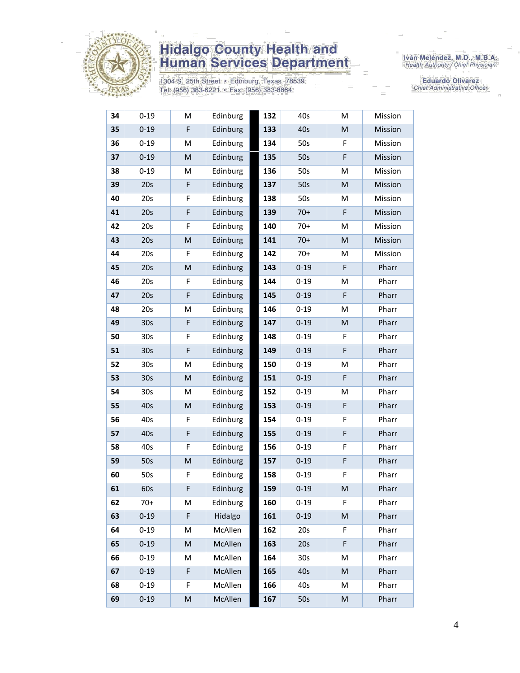

1304 S. 25th Street · Edinburg, Texas 78539 Tel: (956) 383-6221 · Fax: (956) 383-8864

Iván Meléndez, M.D., M.B.A.<br>Health Authority / Chief Physician

Eduardo Olivarez Chief Administrative Officer

| 34 | $0 - 19$        | M                                                                                                          | Edinburg | 132 | 40s             | M                                                                                                          | Mission |
|----|-----------------|------------------------------------------------------------------------------------------------------------|----------|-----|-----------------|------------------------------------------------------------------------------------------------------------|---------|
| 35 | $0 - 19$        | F                                                                                                          | Edinburg | 133 | 40s             | $\mathsf{M}% _{T}=\mathsf{M}_{T}\!\left( a,b\right) ,\ \mathsf{M}_{T}=\mathsf{M}_{T}\!\left( a,b\right) ,$ | Mission |
| 36 | $0 - 19$        | M                                                                                                          | Edinburg | 134 | 50s             | F                                                                                                          | Mission |
| 37 | $0 - 19$        | M                                                                                                          | Edinburg | 135 | 50s             | F                                                                                                          | Mission |
| 38 | $0 - 19$        | M                                                                                                          | Edinburg | 136 | 50s             | M                                                                                                          | Mission |
| 39 | 20s             | $\mathsf F$                                                                                                | Edinburg | 137 | 50s             | M                                                                                                          | Mission |
| 40 | 20s             | F                                                                                                          | Edinburg | 138 | 50s             | M                                                                                                          | Mission |
| 41 | 20s             | F                                                                                                          | Edinburg | 139 | $70+$           | F                                                                                                          | Mission |
| 42 | 20s             | F                                                                                                          | Edinburg | 140 | $70+$           | M                                                                                                          | Mission |
| 43 | 20s             | M                                                                                                          | Edinburg | 141 | $70+$           | M                                                                                                          | Mission |
| 44 | 20s             | F                                                                                                          | Edinburg | 142 | $70+$           | M                                                                                                          | Mission |
| 45 | 20s             | M                                                                                                          | Edinburg | 143 | $0 - 19$        | F                                                                                                          | Pharr   |
| 46 | 20s             | F                                                                                                          | Edinburg | 144 | $0 - 19$        | M                                                                                                          | Pharr   |
| 47 | 20s             | $\mathsf F$                                                                                                | Edinburg | 145 | $0 - 19$        | F                                                                                                          | Pharr   |
| 48 | 20s             | M                                                                                                          | Edinburg | 146 | $0 - 19$        | M                                                                                                          | Pharr   |
| 49 | 30 <sub>s</sub> | F                                                                                                          | Edinburg | 147 | $0 - 19$        | ${\sf M}$                                                                                                  | Pharr   |
| 50 | 30 <sub>s</sub> | F                                                                                                          | Edinburg | 148 | $0 - 19$        | F                                                                                                          | Pharr   |
| 51 | 30 <sub>s</sub> | F                                                                                                          | Edinburg | 149 | $0 - 19$        | F                                                                                                          | Pharr   |
| 52 | 30 <sub>s</sub> | M                                                                                                          | Edinburg | 150 | $0 - 19$        | M                                                                                                          | Pharr   |
| 53 | 30 <sub>s</sub> | ${\sf M}$                                                                                                  | Edinburg | 151 | $0 - 19$        | F                                                                                                          | Pharr   |
| 54 | 30 <sub>s</sub> | M                                                                                                          | Edinburg | 152 | $0 - 19$        | M                                                                                                          | Pharr   |
| 55 | 40s             | M                                                                                                          | Edinburg | 153 | $0 - 19$        | F                                                                                                          | Pharr   |
| 56 | 40s             | F                                                                                                          | Edinburg | 154 | $0 - 19$        | F                                                                                                          | Pharr   |
| 57 | 40s             | $\mathsf F$                                                                                                | Edinburg | 155 | $0 - 19$        | F                                                                                                          | Pharr   |
| 58 | 40s             | F                                                                                                          | Edinburg | 156 | $0 - 19$        | F                                                                                                          | Pharr   |
| 59 | 50s             | ${\sf M}$                                                                                                  | Edinburg | 157 | $0 - 19$        | F                                                                                                          | Pharr   |
| 60 | 50s             | F                                                                                                          | Edinburg | 158 | $0 - 19$        | F                                                                                                          | Pharr   |
| 61 | 60s             | F                                                                                                          | Edinburg | 159 | $0 - 19$        | M                                                                                                          | Pharr   |
| 62 | $70+$           | M                                                                                                          | Edinburg | 160 | $0 - 19$        | F                                                                                                          | Pharr   |
| 63 | $0 - 19$        | $\mathsf F$                                                                                                | Hidalgo  | 161 | $0 - 19$        | M                                                                                                          | Pharr   |
| 64 | $0 - 19$        | M                                                                                                          | McAllen  | 162 | 20s             | F                                                                                                          | Pharr   |
| 65 | $0 - 19$        | $\mathsf{M}% _{T}=\mathsf{M}_{T}\!\left( a,b\right) ,\ \mathsf{M}_{T}=\mathsf{M}_{T}\!\left( a,b\right) ,$ | McAllen  | 163 | 20s             | F                                                                                                          | Pharr   |
| 66 | $0 - 19$        | M                                                                                                          | McAllen  | 164 | 30 <sub>s</sub> | M                                                                                                          | Pharr   |
| 67 | $0 - 19$        | F                                                                                                          | McAllen  | 165 | 40s             | M                                                                                                          | Pharr   |
| 68 | $0 - 19$        | F                                                                                                          | McAllen  | 166 | 40s             | M                                                                                                          | Pharr   |
| 69 | $0 - 19$        | M                                                                                                          | McAllen  | 167 | 50s             | M                                                                                                          | Pharr   |